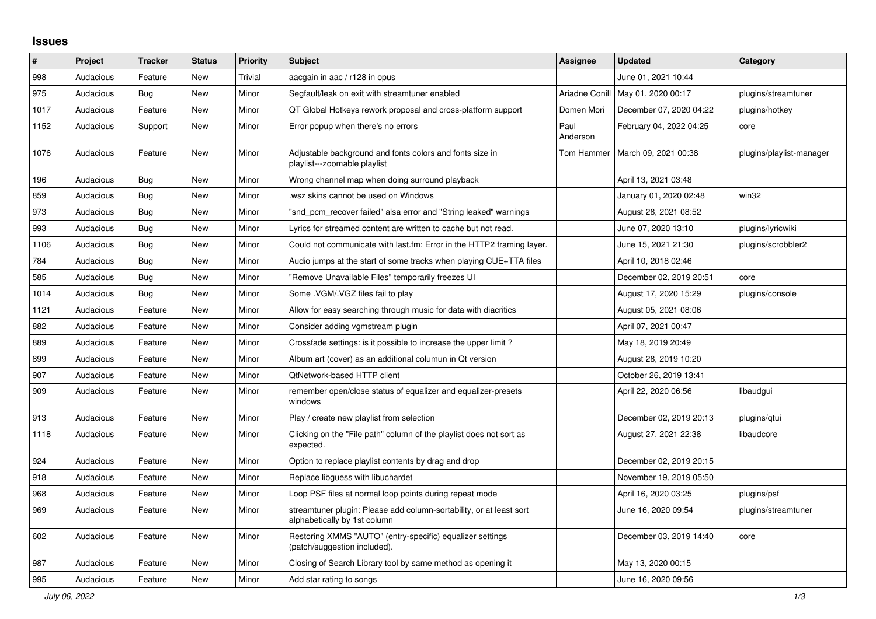## **Issues**

| $\pmb{\#}$ | Project   | <b>Tracker</b> | <b>Status</b> | <b>Priority</b> | <b>Subject</b>                                                                                      | <b>Assignee</b>  | <b>Updated</b>          | Category                 |
|------------|-----------|----------------|---------------|-----------------|-----------------------------------------------------------------------------------------------------|------------------|-------------------------|--------------------------|
| 998        | Audacious | Feature        | New           | Trivial         | aacgain in aac / r128 in opus                                                                       |                  | June 01, 2021 10:44     |                          |
| 975        | Audacious | Bug            | New           | Minor           | Segfault/leak on exit with streamtuner enabled                                                      | Ariadne Conill   | May 01, 2020 00:17      | plugins/streamtuner      |
| 1017       | Audacious | Feature        | New           | Minor           | QT Global Hotkeys rework proposal and cross-platform support                                        | Domen Mori       | December 07, 2020 04:22 | plugins/hotkey           |
| 1152       | Audacious | Support        | New           | Minor           | Error popup when there's no errors                                                                  | Paul<br>Anderson | February 04, 2022 04:25 | core                     |
| 1076       | Audacious | Feature        | New           | Minor           | Adjustable background and fonts colors and fonts size in<br>playlist---zoomable playlist            | Tom Hammer       | March 09, 2021 00:38    | plugins/playlist-manager |
| 196        | Audacious | Bug            | New           | Minor           | Wrong channel map when doing surround playback                                                      |                  | April 13, 2021 03:48    |                          |
| 859        | Audacious | <b>Bug</b>     | New           | Minor           | wsz skins cannot be used on Windows.                                                                |                  | January 01, 2020 02:48  | win32                    |
| 973        | Audacious | <b>Bug</b>     | New           | Minor           | "snd_pcm_recover failed" alsa error and "String leaked" warnings                                    |                  | August 28, 2021 08:52   |                          |
| 993        | Audacious | <b>Bug</b>     | New           | Minor           | Lyrics for streamed content are written to cache but not read.                                      |                  | June 07, 2020 13:10     | plugins/lyricwiki        |
| 1106       | Audacious | <b>Bug</b>     | New           | Minor           | Could not communicate with last.fm: Error in the HTTP2 framing layer.                               |                  | June 15, 2021 21:30     | plugins/scrobbler2       |
| 784        | Audacious | Bug            | New           | Minor           | Audio jumps at the start of some tracks when playing CUE+TTA files                                  |                  | April 10, 2018 02:46    |                          |
| 585        | Audacious | Bug            | New           | Minor           | "Remove Unavailable Files" temporarily freezes UI                                                   |                  | December 02, 2019 20:51 | core                     |
| 1014       | Audacious | <b>Bug</b>     | <b>New</b>    | Minor           | Some .VGM/.VGZ files fail to play                                                                   |                  | August 17, 2020 15:29   | plugins/console          |
| 1121       | Audacious | Feature        | New           | Minor           | Allow for easy searching through music for data with diacritics                                     |                  | August 05, 2021 08:06   |                          |
| 882        | Audacious | Feature        | <b>New</b>    | Minor           | Consider adding vgmstream plugin                                                                    |                  | April 07, 2021 00:47    |                          |
| 889        | Audacious | Feature        | New           | Minor           | Crossfade settings: is it possible to increase the upper limit?                                     |                  | May 18, 2019 20:49      |                          |
| 899        | Audacious | Feature        | New           | Minor           | Album art (cover) as an additional columun in Qt version                                            |                  | August 28, 2019 10:20   |                          |
| 907        | Audacious | Feature        | New           | Minor           | QtNetwork-based HTTP client                                                                         |                  | October 26, 2019 13:41  |                          |
| 909        | Audacious | Feature        | New           | Minor           | remember open/close status of equalizer and equalizer-presets<br>windows                            |                  | April 22, 2020 06:56    | libaudgui                |
| 913        | Audacious | Feature        | New           | Minor           | Play / create new playlist from selection                                                           |                  | December 02, 2019 20:13 | plugins/gtui             |
| 1118       | Audacious | Feature        | New           | Minor           | Clicking on the "File path" column of the playlist does not sort as<br>expected.                    |                  | August 27, 2021 22:38   | libaudcore               |
| 924        | Audacious | Feature        | New           | Minor           | Option to replace playlist contents by drag and drop                                                |                  | December 02, 2019 20:15 |                          |
| 918        | Audacious | Feature        | New           | Minor           | Replace libguess with libuchardet                                                                   |                  | November 19, 2019 05:50 |                          |
| 968        | Audacious | Feature        | New           | Minor           | Loop PSF files at normal loop points during repeat mode                                             |                  | April 16, 2020 03:25    | plugins/psf              |
| 969        | Audacious | Feature        | New           | Minor           | streamtuner plugin: Please add column-sortability, or at least sort<br>alphabetically by 1st column |                  | June 16, 2020 09:54     | plugins/streamtuner      |
| 602        | Audacious | Feature        | <b>New</b>    | Minor           | Restoring XMMS "AUTO" (entry-specific) equalizer settings<br>(patch/suggestion included).           |                  | December 03, 2019 14:40 | core                     |
| 987        | Audacious | Feature        | New           | Minor           | Closing of Search Library tool by same method as opening it                                         |                  | May 13, 2020 00:15      |                          |
| 995        | Audacious | Feature        | New           | Minor           | Add star rating to songs                                                                            |                  | June 16, 2020 09:56     |                          |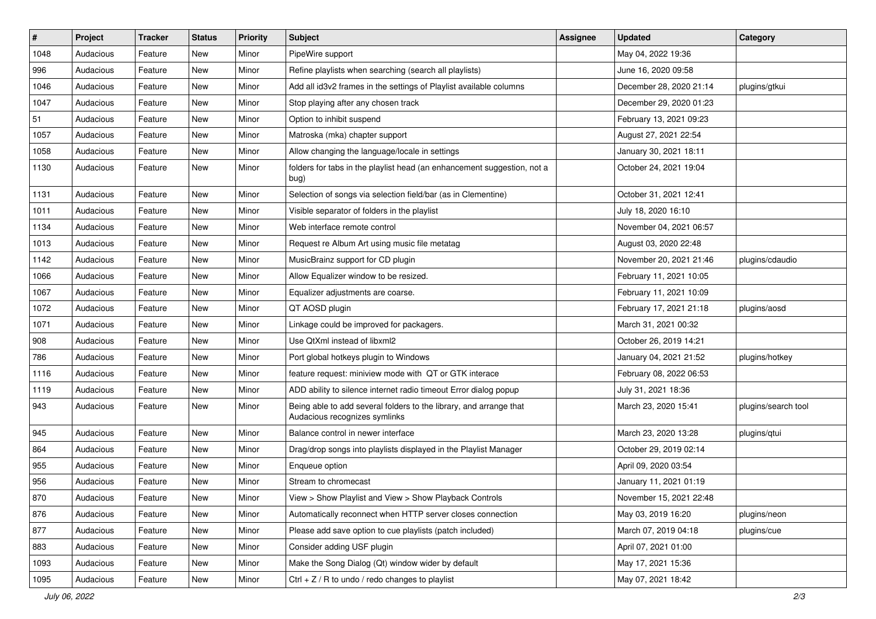| $\#$ | Project   | <b>Tracker</b> | <b>Status</b> | <b>Priority</b> | Subject                                                                                             | <b>Assignee</b> | <b>Updated</b>          | Category            |
|------|-----------|----------------|---------------|-----------------|-----------------------------------------------------------------------------------------------------|-----------------|-------------------------|---------------------|
| 1048 | Audacious | Feature        | New           | Minor           | PipeWire support                                                                                    |                 | May 04, 2022 19:36      |                     |
| 996  | Audacious | Feature        | New           | Minor           | Refine playlists when searching (search all playlists)                                              |                 | June 16, 2020 09:58     |                     |
| 1046 | Audacious | Feature        | New           | Minor           | Add all id3v2 frames in the settings of Playlist available columns                                  |                 | December 28, 2020 21:14 | plugins/gtkui       |
| 1047 | Audacious | Feature        | New           | Minor           | Stop playing after any chosen track                                                                 |                 | December 29, 2020 01:23 |                     |
| 51   | Audacious | Feature        | New           | Minor           | Option to inhibit suspend                                                                           |                 | February 13, 2021 09:23 |                     |
| 1057 | Audacious | Feature        | New           | Minor           | Matroska (mka) chapter support                                                                      |                 | August 27, 2021 22:54   |                     |
| 1058 | Audacious | Feature        | New           | Minor           | Allow changing the language/locale in settings                                                      |                 | January 30, 2021 18:11  |                     |
| 1130 | Audacious | Feature        | New           | Minor           | folders for tabs in the playlist head (an enhancement suggestion, not a<br>bug)                     |                 | October 24, 2021 19:04  |                     |
| 1131 | Audacious | Feature        | New           | Minor           | Selection of songs via selection field/bar (as in Clementine)                                       |                 | October 31, 2021 12:41  |                     |
| 1011 | Audacious | Feature        | New           | Minor           | Visible separator of folders in the playlist                                                        |                 | July 18, 2020 16:10     |                     |
| 1134 | Audacious | Feature        | New           | Minor           | Web interface remote control                                                                        |                 | November 04, 2021 06:57 |                     |
| 1013 | Audacious | Feature        | New           | Minor           | Request re Album Art using music file metatag                                                       |                 | August 03, 2020 22:48   |                     |
| 1142 | Audacious | Feature        | New           | Minor           | MusicBrainz support for CD plugin                                                                   |                 | November 20, 2021 21:46 | plugins/cdaudio     |
| 1066 | Audacious | Feature        | New           | Minor           | Allow Equalizer window to be resized.                                                               |                 | February 11, 2021 10:05 |                     |
| 1067 | Audacious | Feature        | New           | Minor           | Equalizer adjustments are coarse.                                                                   |                 | February 11, 2021 10:09 |                     |
| 1072 | Audacious | Feature        | New           | Minor           | QT AOSD plugin                                                                                      |                 | February 17, 2021 21:18 | plugins/aosd        |
| 1071 | Audacious | Feature        | New           | Minor           | Linkage could be improved for packagers.                                                            |                 | March 31, 2021 00:32    |                     |
| 908  | Audacious | Feature        | New           | Minor           | Use QtXml instead of libxml2                                                                        |                 | October 26, 2019 14:21  |                     |
| 786  | Audacious | Feature        | New           | Minor           | Port global hotkeys plugin to Windows                                                               |                 | January 04, 2021 21:52  | plugins/hotkey      |
| 1116 | Audacious | Feature        | New           | Minor           | feature request: miniview mode with QT or GTK interace                                              |                 | February 08, 2022 06:53 |                     |
| 1119 | Audacious | Feature        | New           | Minor           | ADD ability to silence internet radio timeout Error dialog popup                                    |                 | July 31, 2021 18:36     |                     |
| 943  | Audacious | Feature        | New           | Minor           | Being able to add several folders to the library, and arrange that<br>Audacious recognizes symlinks |                 | March 23, 2020 15:41    | plugins/search tool |
| 945  | Audacious | Feature        | New           | Minor           | Balance control in newer interface                                                                  |                 | March 23, 2020 13:28    | plugins/qtui        |
| 864  | Audacious | Feature        | New           | Minor           | Drag/drop songs into playlists displayed in the Playlist Manager                                    |                 | October 29, 2019 02:14  |                     |
| 955  | Audacious | Feature        | New           | Minor           | Enqueue option                                                                                      |                 | April 09, 2020 03:54    |                     |
| 956  | Audacious | Feature        | New           | Minor           | Stream to chromecast                                                                                |                 | January 11, 2021 01:19  |                     |
| 870  | Audacious | Feature        | New           | Minor           | View > Show Playlist and View > Show Playback Controls                                              |                 | November 15, 2021 22:48 |                     |
| 876  | Audacious | Feature        | New           | Minor           | Automatically reconnect when HTTP server closes connection                                          |                 | May 03, 2019 16:20      | plugins/neon        |
| 877  | Audacious | Feature        | New           | Minor           | Please add save option to cue playlists (patch included)                                            |                 | March 07, 2019 04:18    | plugins/cue         |
| 883  | Audacious | Feature        | New           | Minor           | Consider adding USF plugin                                                                          |                 | April 07, 2021 01:00    |                     |
| 1093 | Audacious | Feature        | New           | Minor           | Make the Song Dialog (Qt) window wider by default                                                   |                 | May 17, 2021 15:36      |                     |
| 1095 | Audacious | Feature        | New           | Minor           | Ctrl + $Z$ / R to undo / redo changes to playlist                                                   |                 | May 07, 2021 18:42      |                     |